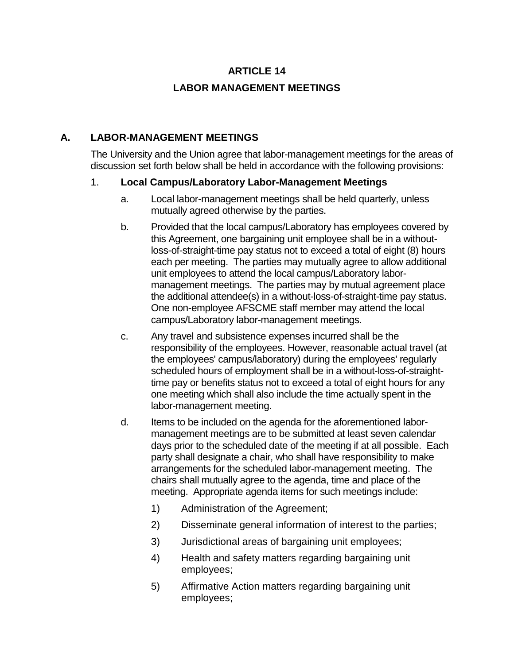## **ARTICLE 14**

# **LABOR MANAGEMENT MEETINGS**

## **A. LABOR-MANAGEMENT MEETINGS**

The University and the Union agree that labor-management meetings for the areas of discussion set forth below shall be held in accordance with the following provisions:

### 1. **Local Campus/Laboratory Labor-Management Meetings**

- a. Local labor-management meetings shall be held quarterly, unless mutually agreed otherwise by the parties.
- b. Provided that the local campus/Laboratory has employees covered by this Agreement, one bargaining unit employee shall be in a withoutloss-of-straight-time pay status not to exceed a total of eight (8) hours each per meeting. The parties may mutually agree to allow additional unit employees to attend the local campus/Laboratory labormanagement meetings. The parties may by mutual agreement place the additional attendee(s) in a without-loss-of-straight-time pay status. One non-employee AFSCME staff member may attend the local campus/Laboratory labor-management meetings.
- c. Any travel and subsistence expenses incurred shall be the responsibility of the employees. However, reasonable actual travel (at the employees' campus/laboratory) during the employees' regularly scheduled hours of employment shall be in a without-loss-of-straighttime pay or benefits status not to exceed a total of eight hours for any one meeting which shall also include the time actually spent in the labor-management meeting.
- d. Items to be included on the agenda for the aforementioned labormanagement meetings are to be submitted at least seven calendar days prior to the scheduled date of the meeting if at all possible. Each party shall designate a chair, who shall have responsibility to make arrangements for the scheduled labor-management meeting. The chairs shall mutually agree to the agenda, time and place of the meeting. Appropriate agenda items for such meetings include:
	- 1) Administration of the Agreement;
	- 2) Disseminate general information of interest to the parties;
	- 3) Jurisdictional areas of bargaining unit employees;
	- 4) Health and safety matters regarding bargaining unit employees;
	- 5) Affirmative Action matters regarding bargaining unit employees;